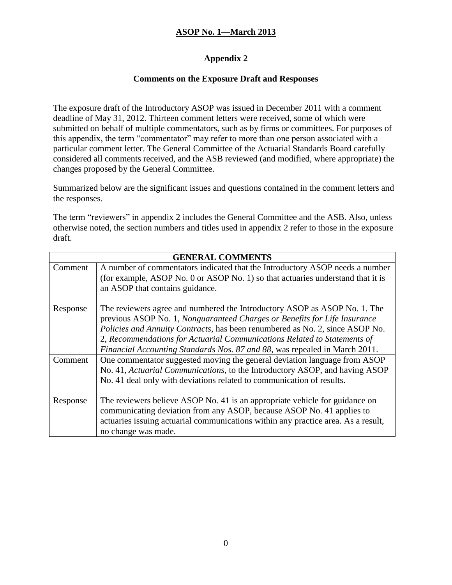### **Appendix 2**

#### **Comments on the Exposure Draft and Responses**

The exposure draft of the Introductory ASOP was issued in December 2011 with a comment deadline of May 31, 2012. Thirteen comment letters were received, some of which were submitted on behalf of multiple commentators, such as by firms or committees. For purposes of this appendix, the term "commentator" may refer to more than one person associated with a particular comment letter. The General Committee of the Actuarial Standards Board carefully considered all comments received, and the ASB reviewed (and modified, where appropriate) the changes proposed by the General Committee.

Summarized below are the significant issues and questions contained in the comment letters and the responses.

The term "reviewers" in appendix 2 includes the General Committee and the ASB. Also, unless otherwise noted, the section numbers and titles used in appendix 2 refer to those in the exposure draft.

| <b>GENERAL COMMENTS</b> |                                                                                   |
|-------------------------|-----------------------------------------------------------------------------------|
| Comment                 | A number of commentators indicated that the Introductory ASOP needs a number      |
|                         | (for example, ASOP No. 0 or ASOP No. 1) so that actuaries understand that it is   |
|                         | an ASOP that contains guidance.                                                   |
| Response                | The reviewers agree and numbered the Introductory ASOP as ASOP No. 1. The         |
|                         | previous ASOP No. 1, Nonguaranteed Charges or Benefits for Life Insurance         |
|                         | Policies and Annuity Contracts, has been renumbered as No. 2, since ASOP No.      |
|                         | 2, Recommendations for Actuarial Communications Related to Statements of          |
|                         | Financial Accounting Standards Nos. 87 and 88, was repealed in March 2011.        |
| Comment                 | One commentator suggested moving the general deviation language from ASOP         |
|                         | No. 41, Actuarial Communications, to the Introductory ASOP, and having ASOP       |
|                         | No. 41 deal only with deviations related to communication of results.             |
| Response                | The reviewers believe ASOP No. 41 is an appropriate vehicle for guidance on       |
|                         | communicating deviation from any ASOP, because ASOP No. 41 applies to             |
|                         | actuaries issuing actuarial communications within any practice area. As a result, |
|                         |                                                                                   |
|                         | no change was made.                                                               |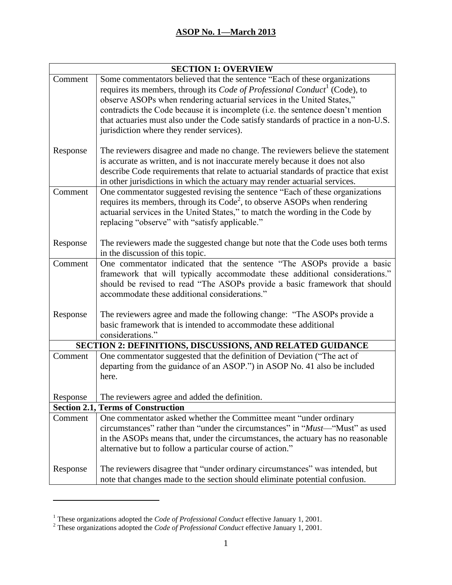| <b>SECTION 1: OVERVIEW</b> |                                                                                        |  |
|----------------------------|----------------------------------------------------------------------------------------|--|
| Comment                    | Some commentators believed that the sentence "Each of these organizations              |  |
|                            | requires its members, through its Code of Professional Conduct <sup>1</sup> (Code), to |  |
|                            | observe ASOPs when rendering actuarial services in the United States,"                 |  |
|                            | contradicts the Code because it is incomplete (i.e. the sentence doesn't mention       |  |
|                            | that actuaries must also under the Code satisfy standards of practice in a non-U.S.    |  |
|                            | jurisdiction where they render services).                                              |  |
| Response                   | The reviewers disagree and made no change. The reviewers believe the statement         |  |
|                            | is accurate as written, and is not inaccurate merely because it does not also          |  |
|                            | describe Code requirements that relate to actuarial standards of practice that exist   |  |
|                            | in other jurisdictions in which the actuary may render actuarial services.             |  |
| Comment                    | One commentator suggested revising the sentence "Each of these organizations           |  |
|                            | requires its members, through its $Code2$ , to observe ASOPs when rendering            |  |
|                            | actuarial services in the United States," to match the wording in the Code by          |  |
|                            | replacing "observe" with "satisfy applicable."                                         |  |
|                            |                                                                                        |  |
| Response                   | The reviewers made the suggested change but note that the Code uses both terms         |  |
|                            | in the discussion of this topic.                                                       |  |
| Comment                    | One commentator indicated that the sentence "The ASOPs provide a basic                 |  |
|                            | framework that will typically accommodate these additional considerations."            |  |
|                            | should be revised to read "The ASOPs provide a basic framework that should             |  |
|                            | accommodate these additional considerations."                                          |  |
|                            |                                                                                        |  |
| Response                   | The reviewers agree and made the following change: "The ASOPs provide a                |  |
|                            | basic framework that is intended to accommodate these additional                       |  |
|                            | considerations."                                                                       |  |
|                            | SECTION 2: DEFINITIONS, DISCUSSIONS, AND RELATED GUIDANCE                              |  |
| Comment                    | One commentator suggested that the definition of Deviation ("The act of                |  |
|                            | departing from the guidance of an ASOP.") in ASOP No. 41 also be included              |  |
|                            | here.                                                                                  |  |
| Response                   | The reviewers agree and added the definition.                                          |  |
|                            | <b>Section 2.1, Terms of Construction</b>                                              |  |
| Comment                    | One commentator asked whether the Committee meant "under ordinary                      |  |
|                            | circumstances" rather than "under the circumstances" in " <i>Must</i> —"Must" as used  |  |
|                            | in the ASOPs means that, under the circumstances, the actuary has no reasonable        |  |
|                            | alternative but to follow a particular course of action."                              |  |
|                            |                                                                                        |  |
| Response                   | The reviewers disagree that "under ordinary circumstances" was intended, but           |  |
|                            | note that changes made to the section should eliminate potential confusion.            |  |

 $\overline{a}$ 

<sup>1</sup> These organizations adopted the *Code of Professional Conduct* effective January 1, 2001.

<sup>2</sup> These organizations adopted the *Code of Professional Conduct* effective January 1, 2001.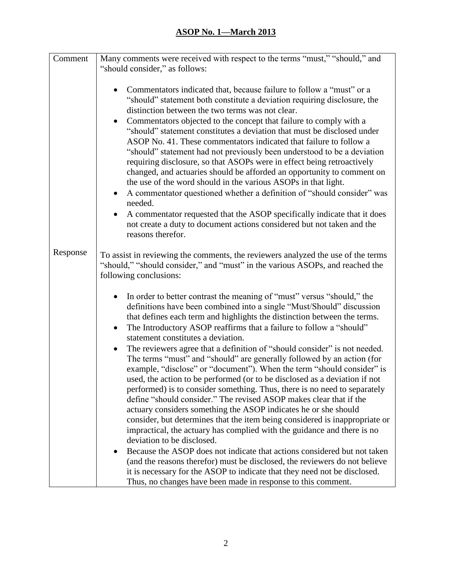| Comment  | Many comments were received with respect to the terms "must," "should," and                                                                                                                                                                                                                                                                                                                                                                                                                                                                                                                                                                                                                                                                                                                                                    |
|----------|--------------------------------------------------------------------------------------------------------------------------------------------------------------------------------------------------------------------------------------------------------------------------------------------------------------------------------------------------------------------------------------------------------------------------------------------------------------------------------------------------------------------------------------------------------------------------------------------------------------------------------------------------------------------------------------------------------------------------------------------------------------------------------------------------------------------------------|
|          | "should consider," as follows:                                                                                                                                                                                                                                                                                                                                                                                                                                                                                                                                                                                                                                                                                                                                                                                                 |
|          |                                                                                                                                                                                                                                                                                                                                                                                                                                                                                                                                                                                                                                                                                                                                                                                                                                |
|          | Commentators indicated that, because failure to follow a "must" or a<br>"should" statement both constitute a deviation requiring disclosure, the<br>distinction between the two terms was not clear.<br>Commentators objected to the concept that failure to comply with a<br>$\bullet$<br>"should" statement constitutes a deviation that must be disclosed under<br>ASOP No. 41. These commentators indicated that failure to follow a<br>"should" statement had not previously been understood to be a deviation<br>requiring disclosure, so that ASOPs were in effect being retroactively<br>changed, and actuaries should be afforded an opportunity to comment on<br>the use of the word should in the various ASOPs in that light.<br>A commentator questioned whether a definition of "should consider" was<br>needed. |
|          | A commentator requested that the ASOP specifically indicate that it does<br>$\bullet$                                                                                                                                                                                                                                                                                                                                                                                                                                                                                                                                                                                                                                                                                                                                          |
|          | not create a duty to document actions considered but not taken and the<br>reasons therefor.                                                                                                                                                                                                                                                                                                                                                                                                                                                                                                                                                                                                                                                                                                                                    |
| Response | To assist in reviewing the comments, the reviewers analyzed the use of the terms<br>"should," "should consider," and "must" in the various ASOPs, and reached the<br>following conclusions:                                                                                                                                                                                                                                                                                                                                                                                                                                                                                                                                                                                                                                    |
|          | In order to better contrast the meaning of "must" versus "should," the<br>definitions have been combined into a single "Must/Should" discussion<br>that defines each term and highlights the distinction between the terms.<br>The Introductory ASOP reaffirms that a failure to follow a "should"<br>$\bullet$<br>statement constitutes a deviation.                                                                                                                                                                                                                                                                                                                                                                                                                                                                          |
|          | The reviewers agree that a definition of "should consider" is not needed.<br>$\bullet$<br>The terms "must" and "should" are generally followed by an action (for<br>example, "disclose" or "document"). When the term "should consider" is<br>used, the action to be performed (or to be disclosed as a deviation if not<br>performed) is to consider something. Thus, there is no need to separately<br>define "should consider." The revised ASOP makes clear that if the<br>actuary considers something the ASOP indicates he or she should<br>consider, but determines that the item being considered is inappropriate or<br>impractical, the actuary has complied with the guidance and there is no<br>deviation to be disclosed.                                                                                         |
|          | Because the ASOP does not indicate that actions considered but not taken<br>(and the reasons therefor) must be disclosed, the reviewers do not believe<br>it is necessary for the ASOP to indicate that they need not be disclosed.<br>Thus, no changes have been made in response to this comment.                                                                                                                                                                                                                                                                                                                                                                                                                                                                                                                            |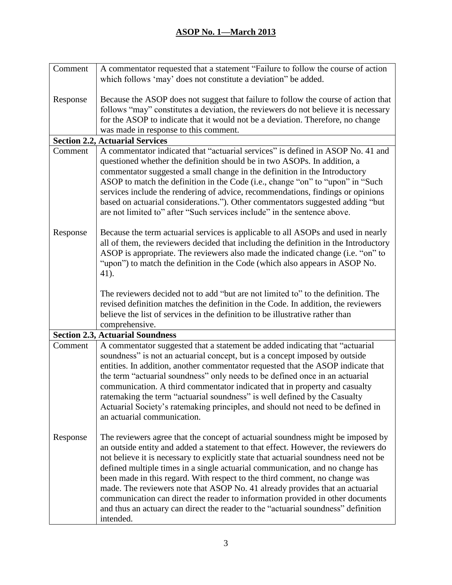| Comment  | A commentator requested that a statement "Failure to follow the course of action                                                                                                                                                                                                                                                                                                                                                                                                                                                                                             |
|----------|------------------------------------------------------------------------------------------------------------------------------------------------------------------------------------------------------------------------------------------------------------------------------------------------------------------------------------------------------------------------------------------------------------------------------------------------------------------------------------------------------------------------------------------------------------------------------|
|          | which follows 'may' does not constitute a deviation" be added.                                                                                                                                                                                                                                                                                                                                                                                                                                                                                                               |
|          |                                                                                                                                                                                                                                                                                                                                                                                                                                                                                                                                                                              |
| Response | Because the ASOP does not suggest that failure to follow the course of action that                                                                                                                                                                                                                                                                                                                                                                                                                                                                                           |
|          | follows "may" constitutes a deviation, the reviewers do not believe it is necessary                                                                                                                                                                                                                                                                                                                                                                                                                                                                                          |
|          | for the ASOP to indicate that it would not be a deviation. Therefore, no change                                                                                                                                                                                                                                                                                                                                                                                                                                                                                              |
|          | was made in response to this comment.                                                                                                                                                                                                                                                                                                                                                                                                                                                                                                                                        |
|          | <b>Section 2.2, Actuarial Services</b>                                                                                                                                                                                                                                                                                                                                                                                                                                                                                                                                       |
| Comment  | A commentator indicated that "actuarial services" is defined in ASOP No. 41 and<br>questioned whether the definition should be in two ASOPs. In addition, a<br>commentator suggested a small change in the definition in the Introductory<br>ASOP to match the definition in the Code (i.e., change "on" to "upon" in "Such<br>services include the rendering of advice, recommendations, findings or opinions<br>based on actuarial considerations."). Other commentators suggested adding "but<br>are not limited to" after "Such services include" in the sentence above. |
|          |                                                                                                                                                                                                                                                                                                                                                                                                                                                                                                                                                                              |
| Response | Because the term actuarial services is applicable to all ASOPs and used in nearly<br>all of them, the reviewers decided that including the definition in the Introductory                                                                                                                                                                                                                                                                                                                                                                                                    |
|          | ASOP is appropriate. The reviewers also made the indicated change (i.e. "on" to                                                                                                                                                                                                                                                                                                                                                                                                                                                                                              |
|          | "upon") to match the definition in the Code (which also appears in ASOP No.                                                                                                                                                                                                                                                                                                                                                                                                                                                                                                  |
|          | 41).                                                                                                                                                                                                                                                                                                                                                                                                                                                                                                                                                                         |
|          | The reviewers decided not to add "but are not limited to" to the definition. The                                                                                                                                                                                                                                                                                                                                                                                                                                                                                             |
|          | revised definition matches the definition in the Code. In addition, the reviewers                                                                                                                                                                                                                                                                                                                                                                                                                                                                                            |
|          | believe the list of services in the definition to be illustrative rather than                                                                                                                                                                                                                                                                                                                                                                                                                                                                                                |
|          | comprehensive.                                                                                                                                                                                                                                                                                                                                                                                                                                                                                                                                                               |
|          | <b>Section 2.3, Actuarial Soundness</b>                                                                                                                                                                                                                                                                                                                                                                                                                                                                                                                                      |
| Comment  | A commentator suggested that a statement be added indicating that "actuarial                                                                                                                                                                                                                                                                                                                                                                                                                                                                                                 |
|          | soundness" is not an actuarial concept, but is a concept imposed by outside                                                                                                                                                                                                                                                                                                                                                                                                                                                                                                  |
|          | entities. In addition, another commentator requested that the ASOP indicate that                                                                                                                                                                                                                                                                                                                                                                                                                                                                                             |
|          | the term "actuarial soundness" only needs to be defined once in an actuarial                                                                                                                                                                                                                                                                                                                                                                                                                                                                                                 |
|          | communication. A third commentator indicated that in property and casualty                                                                                                                                                                                                                                                                                                                                                                                                                                                                                                   |
|          | ratemaking the term "actuarial soundness" is well defined by the Casualty                                                                                                                                                                                                                                                                                                                                                                                                                                                                                                    |
|          | Actuarial Society's ratemaking principles, and should not need to be defined in                                                                                                                                                                                                                                                                                                                                                                                                                                                                                              |
|          | an actuarial communication.                                                                                                                                                                                                                                                                                                                                                                                                                                                                                                                                                  |
| Response | The reviewers agree that the concept of actuarial soundness might be imposed by                                                                                                                                                                                                                                                                                                                                                                                                                                                                                              |
|          | an outside entity and added a statement to that effect. However, the reviewers do                                                                                                                                                                                                                                                                                                                                                                                                                                                                                            |
|          | not believe it is necessary to explicitly state that actuarial soundness need not be                                                                                                                                                                                                                                                                                                                                                                                                                                                                                         |
|          | defined multiple times in a single actuarial communication, and no change has                                                                                                                                                                                                                                                                                                                                                                                                                                                                                                |
|          | been made in this regard. With respect to the third comment, no change was                                                                                                                                                                                                                                                                                                                                                                                                                                                                                                   |
|          | made. The reviewers note that ASOP No. 41 already provides that an actuarial                                                                                                                                                                                                                                                                                                                                                                                                                                                                                                 |
|          | communication can direct the reader to information provided in other documents                                                                                                                                                                                                                                                                                                                                                                                                                                                                                               |
|          | and thus an actuary can direct the reader to the "actuarial soundness" definition                                                                                                                                                                                                                                                                                                                                                                                                                                                                                            |
|          | intended.                                                                                                                                                                                                                                                                                                                                                                                                                                                                                                                                                                    |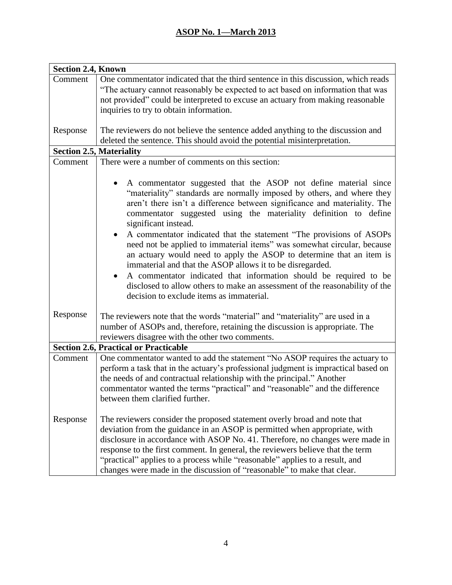| <b>Section 2.4, Known</b> |                                                                                                                                                                                                                                                                                                                                                                                                                                                                                      |  |
|---------------------------|--------------------------------------------------------------------------------------------------------------------------------------------------------------------------------------------------------------------------------------------------------------------------------------------------------------------------------------------------------------------------------------------------------------------------------------------------------------------------------------|--|
| Comment                   | One commentator indicated that the third sentence in this discussion, which reads<br>"The actuary cannot reasonably be expected to act based on information that was                                                                                                                                                                                                                                                                                                                 |  |
|                           | not provided" could be interpreted to excuse an actuary from making reasonable<br>inquiries to try to obtain information.                                                                                                                                                                                                                                                                                                                                                            |  |
| Response                  | The reviewers do not believe the sentence added anything to the discussion and<br>deleted the sentence. This should avoid the potential misinterpretation.                                                                                                                                                                                                                                                                                                                           |  |
|                           | <b>Section 2.5, Materiality</b>                                                                                                                                                                                                                                                                                                                                                                                                                                                      |  |
| Comment                   | There were a number of comments on this section:                                                                                                                                                                                                                                                                                                                                                                                                                                     |  |
|                           |                                                                                                                                                                                                                                                                                                                                                                                                                                                                                      |  |
|                           | A commentator suggested that the ASOP not define material since<br>"materiality" standards are normally imposed by others, and where they<br>aren't there isn't a difference between significance and materiality. The<br>commentator suggested using the materiality definition to define<br>significant instead.                                                                                                                                                                   |  |
|                           | A commentator indicated that the statement "The provisions of ASOPs<br>need not be applied to immaterial items" was somewhat circular, because<br>an actuary would need to apply the ASOP to determine that an item is<br>immaterial and that the ASOP allows it to be disregarded.<br>A commentator indicated that information should be required to be<br>disclosed to allow others to make an assessment of the reasonability of the<br>decision to exclude items as immaterial.  |  |
| Response                  | The reviewers note that the words "material" and "materiality" are used in a<br>number of ASOPs and, therefore, retaining the discussion is appropriate. The<br>reviewers disagree with the other two comments.                                                                                                                                                                                                                                                                      |  |
|                           | <b>Section 2.6, Practical or Practicable</b>                                                                                                                                                                                                                                                                                                                                                                                                                                         |  |
| Comment                   | One commentator wanted to add the statement "No ASOP requires the actuary to<br>perform a task that in the actuary's professional judgment is impractical based on<br>the needs of and contractual relationship with the principal." Another<br>commentator wanted the terms "practical" and "reasonable" and the difference<br>between them clarified further.                                                                                                                      |  |
| Response                  | The reviewers consider the proposed statement overly broad and note that<br>deviation from the guidance in an ASOP is permitted when appropriate, with<br>disclosure in accordance with ASOP No. 41. Therefore, no changes were made in<br>response to the first comment. In general, the reviewers believe that the term<br>"practical" applies to a process while "reasonable" applies to a result, and<br>changes were made in the discussion of "reasonable" to make that clear. |  |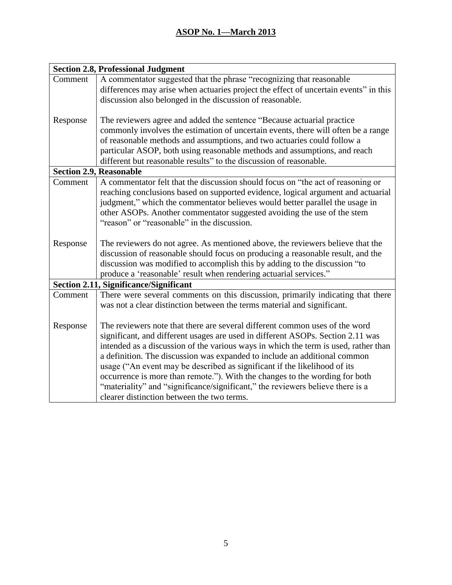| <b>Section 2.8, Professional Judgment</b> |                                                                                      |  |
|-------------------------------------------|--------------------------------------------------------------------------------------|--|
| Comment                                   | A commentator suggested that the phrase "recognizing that reasonable                 |  |
|                                           | differences may arise when actuaries project the effect of uncertain events" in this |  |
|                                           | discussion also belonged in the discussion of reasonable.                            |  |
|                                           |                                                                                      |  |
| Response                                  | The reviewers agree and added the sentence "Because actuarial practice"              |  |
|                                           | commonly involves the estimation of uncertain events, there will often be a range    |  |
|                                           | of reasonable methods and assumptions, and two actuaries could follow a              |  |
|                                           | particular ASOP, both using reasonable methods and assumptions, and reach            |  |
|                                           | different but reasonable results" to the discussion of reasonable.                   |  |
|                                           | <b>Section 2.9, Reasonable</b>                                                       |  |
| Comment                                   | A commentator felt that the discussion should focus on "the act of reasoning or      |  |
|                                           | reaching conclusions based on supported evidence, logical argument and actuarial     |  |
|                                           | judgment," which the commentator believes would better parallel the usage in         |  |
|                                           | other ASOPs. Another commentator suggested avoiding the use of the stem              |  |
|                                           | "reason" or "reasonable" in the discussion.                                          |  |
|                                           |                                                                                      |  |
| Response                                  | The reviewers do not agree. As mentioned above, the reviewers believe that the       |  |
|                                           | discussion of reasonable should focus on producing a reasonable result, and the      |  |
|                                           | discussion was modified to accomplish this by adding to the discussion "to           |  |
|                                           | produce a 'reasonable' result when rendering actuarial services."                    |  |
|                                           | <b>Section 2.11, Significance/Significant</b>                                        |  |
| Comment                                   | There were several comments on this discussion, primarily indicating that there      |  |
|                                           | was not a clear distinction between the terms material and significant.              |  |
|                                           |                                                                                      |  |
| Response                                  | The reviewers note that there are several different common uses of the word          |  |
|                                           | significant, and different usages are used in different ASOPs. Section 2.11 was      |  |
|                                           | intended as a discussion of the various ways in which the term is used, rather than  |  |
|                                           | a definition. The discussion was expanded to include an additional common            |  |
|                                           | usage ("An event may be described as significant if the likelihood of its            |  |
|                                           | occurrence is more than remote."). With the changes to the wording for both          |  |
|                                           | "materiality" and "significance/significant," the reviewers believe there is a       |  |
|                                           | clearer distinction between the two terms.                                           |  |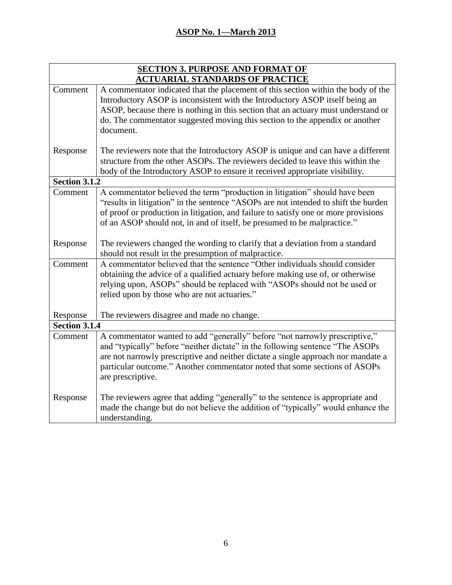| <b>SECTION 3. PURPOSE AND FORMAT OF</b> |                                                                                     |  |
|-----------------------------------------|-------------------------------------------------------------------------------------|--|
| <b>ACTUARIAL STANDARDS OF PRACTICE</b>  |                                                                                     |  |
| Comment                                 | A commentator indicated that the placement of this section within the body of the   |  |
|                                         | Introductory ASOP is inconsistent with the Introductory ASOP itself being an        |  |
|                                         | ASOP, because there is nothing in this section that an actuary must understand or   |  |
|                                         | do. The commentator suggested moving this section to the appendix or another        |  |
|                                         | document.                                                                           |  |
| Response                                | The reviewers note that the Introductory ASOP is unique and can have a different    |  |
|                                         | structure from the other ASOPs. The reviewers decided to leave this within the      |  |
|                                         | body of the Introductory ASOP to ensure it received appropriate visibility.         |  |
| <b>Section 3.1.2</b>                    |                                                                                     |  |
| Comment                                 | A commentator believed the term "production in litigation" should have been         |  |
|                                         | "results in litigation" in the sentence "ASOPs are not intended to shift the burden |  |
|                                         | of proof or production in litigation, and failure to satisfy one or more provisions |  |
|                                         | of an ASOP should not, in and of itself, be presumed to be malpractice."            |  |
|                                         |                                                                                     |  |
| Response                                | The reviewers changed the wording to clarify that a deviation from a standard       |  |
|                                         | should not result in the presumption of malpractice.                                |  |
| Comment                                 | A commentator believed that the sentence "Other individuals should consider         |  |
|                                         | obtaining the advice of a qualified actuary before making use of, or otherwise      |  |
|                                         | relying upon, ASOPs" should be replaced with "ASOPs should not be used or           |  |
|                                         | relied upon by those who are not actuaries."                                        |  |
| Response                                | The reviewers disagree and made no change.                                          |  |
| Section 3.1.4                           |                                                                                     |  |
| Comment                                 | A commentator wanted to add "generally" before "not narrowly prescriptive,"         |  |
|                                         | and "typically" before "neither dictate" in the following sentence "The ASOPs       |  |
|                                         | are not narrowly prescriptive and neither dictate a single approach nor mandate a   |  |
|                                         | particular outcome." Another commentator noted that some sections of ASOPs          |  |
|                                         | are prescriptive.                                                                   |  |
| Response                                | The reviewers agree that adding "generally" to the sentence is appropriate and      |  |
|                                         | made the change but do not believe the addition of "typically" would enhance the    |  |
|                                         | understanding.                                                                      |  |
|                                         |                                                                                     |  |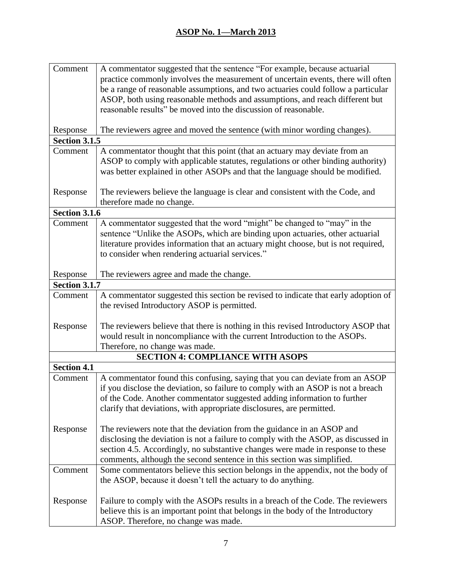| Comment              | A commentator suggested that the sentence "For example, because actuarial          |
|----------------------|------------------------------------------------------------------------------------|
|                      | practice commonly involves the measurement of uncertain events, there will often   |
|                      | be a range of reasonable assumptions, and two actuaries could follow a particular  |
|                      | ASOP, both using reasonable methods and assumptions, and reach different but       |
|                      | reasonable results" be moved into the discussion of reasonable.                    |
|                      |                                                                                    |
| Response             | The reviewers agree and moved the sentence (with minor wording changes).           |
| <b>Section 3.1.5</b> |                                                                                    |
| Comment              | A commentator thought that this point (that an actuary may deviate from an         |
|                      | ASOP to comply with applicable statutes, regulations or other binding authority)   |
|                      | was better explained in other ASOPs and that the language should be modified.      |
|                      |                                                                                    |
| Response             | The reviewers believe the language is clear and consistent with the Code, and      |
|                      | therefore made no change.                                                          |
| <b>Section 3.1.6</b> |                                                                                    |
| Comment              | A commentator suggested that the word "might" be changed to "may" in the           |
|                      | sentence "Unlike the ASOPs, which are binding upon actuaries, other actuarial      |
|                      | literature provides information that an actuary might choose, but is not required, |
|                      | to consider when rendering actuarial services."                                    |
|                      |                                                                                    |
| Response             | The reviewers agree and made the change.                                           |
| <b>Section 3.1.7</b> |                                                                                    |
| Comment              | A commentator suggested this section be revised to indicate that early adoption of |
|                      | the revised Introductory ASOP is permitted.                                        |
|                      |                                                                                    |
| Response             | The reviewers believe that there is nothing in this revised Introductory ASOP that |
|                      | would result in noncompliance with the current Introduction to the ASOPs.          |
|                      | Therefore, no change was made.                                                     |
|                      | <b>SECTION 4: COMPLIANCE WITH ASOPS</b>                                            |
| <b>Section 4.1</b>   |                                                                                    |
| Comment              | A commentator found this confusing, saying that you can deviate from an ASOP       |
|                      | if you disclose the deviation, so failure to comply with an ASOP is not a breach   |
|                      | of the Code. Another commentator suggested adding information to further           |
|                      | clarify that deviations, with appropriate disclosures, are permitted.              |
|                      |                                                                                    |
| Response             | The reviewers note that the deviation from the guidance in an ASOP and             |
|                      | disclosing the deviation is not a failure to comply with the ASOP, as discussed in |
|                      | section 4.5. Accordingly, no substantive changes were made in response to these    |
|                      | comments, although the second sentence in this section was simplified.             |
| Comment              | Some commentators believe this section belongs in the appendix, not the body of    |
|                      | the ASOP, because it doesn't tell the actuary to do anything.                      |
|                      |                                                                                    |
| Response             | Failure to comply with the ASOPs results in a breach of the Code. The reviewers    |
|                      | believe this is an important point that belongs in the body of the Introductory    |
|                      | ASOP. Therefore, no change was made.                                               |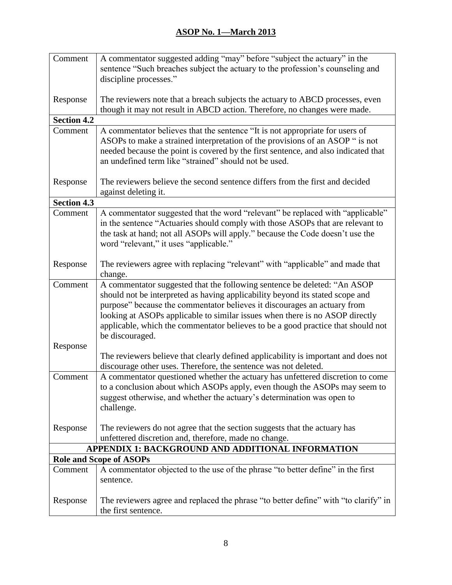| Comment            | A commentator suggested adding "may" before "subject the actuary" in the                                                                                            |
|--------------------|---------------------------------------------------------------------------------------------------------------------------------------------------------------------|
|                    | sentence "Such breaches subject the actuary to the profession's counseling and                                                                                      |
|                    | discipline processes."                                                                                                                                              |
|                    |                                                                                                                                                                     |
| Response           | The reviewers note that a breach subjects the actuary to ABCD processes, even                                                                                       |
|                    | though it may not result in ABCD action. Therefore, no changes were made.                                                                                           |
| <b>Section 4.2</b> |                                                                                                                                                                     |
| Comment            | A commentator believes that the sentence "It is not appropriate for users of                                                                                        |
|                    | ASOPs to make a strained interpretation of the provisions of an ASOP " is not<br>needed because the point is covered by the first sentence, and also indicated that |
|                    | an undefined term like "strained" should not be used.                                                                                                               |
|                    |                                                                                                                                                                     |
| Response           | The reviewers believe the second sentence differs from the first and decided                                                                                        |
|                    | against deleting it.                                                                                                                                                |
| <b>Section 4.3</b> |                                                                                                                                                                     |
| Comment            | A commentator suggested that the word "relevant" be replaced with "applicable"                                                                                      |
|                    | in the sentence "Actuaries should comply with those ASOPs that are relevant to                                                                                      |
|                    | the task at hand; not all ASOPs will apply." because the Code doesn't use the                                                                                       |
|                    | word "relevant," it uses "applicable."                                                                                                                              |
|                    |                                                                                                                                                                     |
| Response           | The reviewers agree with replacing "relevant" with "applicable" and made that                                                                                       |
|                    | change.                                                                                                                                                             |
| Comment            | A commentator suggested that the following sentence be deleted: "An ASOP                                                                                            |
|                    | should not be interpreted as having applicability beyond its stated scope and                                                                                       |
|                    | purpose" because the commentator believes it discourages an actuary from                                                                                            |
|                    | looking at ASOPs applicable to similar issues when there is no ASOP directly                                                                                        |
|                    | applicable, which the commentator believes to be a good practice that should not                                                                                    |
| Response           | be discouraged.                                                                                                                                                     |
|                    | The reviewers believe that clearly defined applicability is important and does not                                                                                  |
|                    | discourage other uses. Therefore, the sentence was not deleted.                                                                                                     |
| Comment            | A commentator questioned whether the actuary has unfettered discretion to come                                                                                      |
|                    | to a conclusion about which ASOPs apply, even though the ASOPs may seem to                                                                                          |
|                    | suggest otherwise, and whether the actuary's determination was open to                                                                                              |
|                    | challenge.                                                                                                                                                          |
|                    |                                                                                                                                                                     |
| Response           | The reviewers do not agree that the section suggests that the actuary has                                                                                           |
|                    | unfettered discretion and, therefore, made no change.                                                                                                               |
|                    | APPENDIX 1: BACKGROUND AND ADDITIONAL INFORMATION                                                                                                                   |
|                    | <b>Role and Scope of ASOPs</b>                                                                                                                                      |
| Comment            | A commentator objected to the use of the phrase "to better define" in the first                                                                                     |
|                    | sentence.                                                                                                                                                           |
|                    |                                                                                                                                                                     |
| Response           | The reviewers agree and replaced the phrase "to better define" with "to clarify" in                                                                                 |
|                    | the first sentence.                                                                                                                                                 |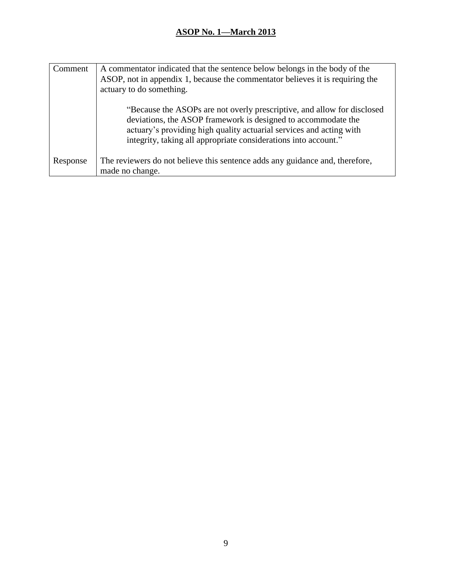| Comment  | A commentator indicated that the sentence below belongs in the body of the<br>ASOP, not in appendix 1, because the commentator believes it is requiring the<br>actuary to do something.                                                                                            |
|----------|------------------------------------------------------------------------------------------------------------------------------------------------------------------------------------------------------------------------------------------------------------------------------------|
|          | "Because the ASOPs are not overly prescriptive, and allow for disclosed<br>deviations, the ASOP framework is designed to accommodate the<br>actuary's providing high quality actuarial services and acting with<br>integrity, taking all appropriate considerations into account." |
| Response | The reviewers do not believe this sentence adds any guidance and, therefore,<br>made no change.                                                                                                                                                                                    |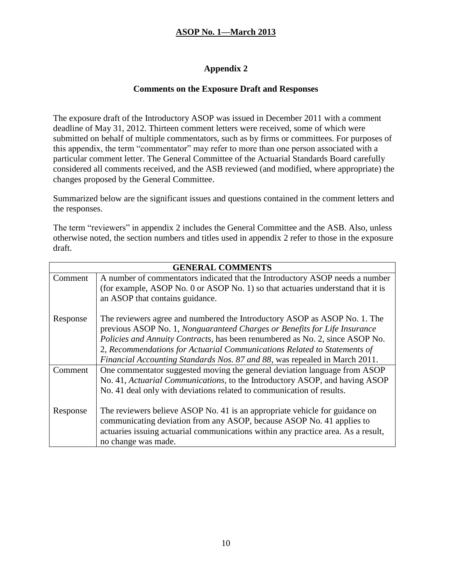### **Appendix 2**

#### **Comments on the Exposure Draft and Responses**

The exposure draft of the Introductory ASOP was issued in December 2011 with a comment deadline of May 31, 2012. Thirteen comment letters were received, some of which were submitted on behalf of multiple commentators, such as by firms or committees. For purposes of this appendix, the term "commentator" may refer to more than one person associated with a particular comment letter. The General Committee of the Actuarial Standards Board carefully considered all comments received, and the ASB reviewed (and modified, where appropriate) the changes proposed by the General Committee.

Summarized below are the significant issues and questions contained in the comment letters and the responses.

The term "reviewers" in appendix 2 includes the General Committee and the ASB. Also, unless otherwise noted, the section numbers and titles used in appendix 2 refer to those in the exposure draft.

| <b>GENERAL COMMENTS</b> |                                                                                   |
|-------------------------|-----------------------------------------------------------------------------------|
| Comment                 | A number of commentators indicated that the Introductory ASOP needs a number      |
|                         | (for example, ASOP No. 0 or ASOP No. 1) so that actuaries understand that it is   |
|                         | an ASOP that contains guidance.                                                   |
|                         |                                                                                   |
| Response                | The reviewers agree and numbered the Introductory ASOP as ASOP No. 1. The         |
|                         | previous ASOP No. 1, Nonguaranteed Charges or Benefits for Life Insurance         |
|                         | Policies and Annuity Contracts, has been renumbered as No. 2, since ASOP No.      |
|                         | 2, Recommendations for Actuarial Communications Related to Statements of          |
|                         | Financial Accounting Standards Nos. 87 and 88, was repealed in March 2011.        |
| Comment                 | One commentator suggested moving the general deviation language from ASOP         |
|                         | No. 41, Actuarial Communications, to the Introductory ASOP, and having ASOP       |
|                         | No. 41 deal only with deviations related to communication of results.             |
|                         |                                                                                   |
| Response                | The reviewers believe ASOP No. 41 is an appropriate vehicle for guidance on       |
|                         | communicating deviation from any ASOP, because ASOP No. 41 applies to             |
|                         | actuaries issuing actuarial communications within any practice area. As a result, |
|                         | no change was made.                                                               |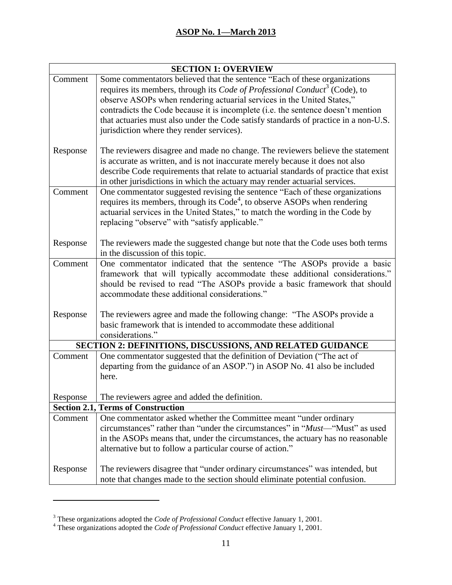| <b>SECTION 1: OVERVIEW</b> |                                                                                        |  |
|----------------------------|----------------------------------------------------------------------------------------|--|
| Comment                    | Some commentators believed that the sentence "Each of these organizations              |  |
|                            | requires its members, through its Code of Professional Conduct <sup>3</sup> (Code), to |  |
|                            | observe ASOPs when rendering actuarial services in the United States,"                 |  |
|                            | contradicts the Code because it is incomplete (i.e. the sentence doesn't mention       |  |
|                            | that actuaries must also under the Code satisfy standards of practice in a non-U.S.    |  |
|                            | jurisdiction where they render services).                                              |  |
| Response                   | The reviewers disagree and made no change. The reviewers believe the statement         |  |
|                            | is accurate as written, and is not inaccurate merely because it does not also          |  |
|                            | describe Code requirements that relate to actuarial standards of practice that exist   |  |
|                            | in other jurisdictions in which the actuary may render actuarial services.             |  |
| Comment                    | One commentator suggested revising the sentence "Each of these organizations           |  |
|                            | requires its members, through its $Code4$ , to observe ASOPs when rendering            |  |
|                            | actuarial services in the United States," to match the wording in the Code by          |  |
|                            | replacing "observe" with "satisfy applicable."                                         |  |
|                            |                                                                                        |  |
| Response                   | The reviewers made the suggested change but note that the Code uses both terms         |  |
|                            | in the discussion of this topic.                                                       |  |
| Comment                    | One commentator indicated that the sentence "The ASOPs provide a basic                 |  |
|                            | framework that will typically accommodate these additional considerations."            |  |
|                            | should be revised to read "The ASOPs provide a basic framework that should             |  |
|                            | accommodate these additional considerations."                                          |  |
|                            |                                                                                        |  |
| Response                   | The reviewers agree and made the following change: "The ASOPs provide a                |  |
|                            | basic framework that is intended to accommodate these additional                       |  |
|                            | considerations."                                                                       |  |
|                            | SECTION 2: DEFINITIONS, DISCUSSIONS, AND RELATED GUIDANCE                              |  |
| Comment                    | One commentator suggested that the definition of Deviation ("The act of                |  |
|                            | departing from the guidance of an ASOP.") in ASOP No. 41 also be included              |  |
|                            | here.                                                                                  |  |
|                            |                                                                                        |  |
| Response                   | The reviewers agree and added the definition.                                          |  |
|                            | <b>Section 2.1, Terms of Construction</b>                                              |  |
| Comment                    | One commentator asked whether the Committee meant "under ordinary                      |  |
|                            | circumstances" rather than "under the circumstances" in " <i>Must</i> —"Must" as used  |  |
|                            | in the ASOPs means that, under the circumstances, the actuary has no reasonable        |  |
|                            | alternative but to follow a particular course of action."                              |  |
|                            |                                                                                        |  |
| Response                   | The reviewers disagree that "under ordinary circumstances" was intended, but           |  |
|                            | note that changes made to the section should eliminate potential confusion.            |  |

 $\overline{a}$ 

<sup>3</sup> These organizations adopted the *Code of Professional Conduct* effective January 1, 2001.

<sup>4</sup> These organizations adopted the *Code of Professional Conduct* effective January 1, 2001.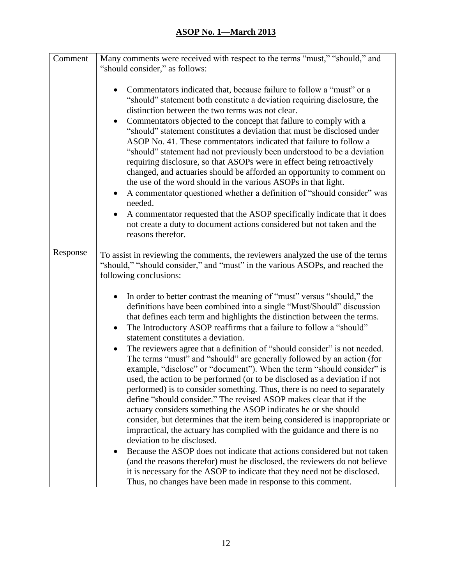| Comment  | Many comments were received with respect to the terms "must," "should," and                                                                                                                                                                                                                                                                                                                                                                                                                                                                                                                                                                                                                                                                                                                                                    |
|----------|--------------------------------------------------------------------------------------------------------------------------------------------------------------------------------------------------------------------------------------------------------------------------------------------------------------------------------------------------------------------------------------------------------------------------------------------------------------------------------------------------------------------------------------------------------------------------------------------------------------------------------------------------------------------------------------------------------------------------------------------------------------------------------------------------------------------------------|
|          | "should consider," as follows:                                                                                                                                                                                                                                                                                                                                                                                                                                                                                                                                                                                                                                                                                                                                                                                                 |
|          |                                                                                                                                                                                                                                                                                                                                                                                                                                                                                                                                                                                                                                                                                                                                                                                                                                |
|          | Commentators indicated that, because failure to follow a "must" or a<br>"should" statement both constitute a deviation requiring disclosure, the<br>distinction between the two terms was not clear.<br>Commentators objected to the concept that failure to comply with a<br>$\bullet$<br>"should" statement constitutes a deviation that must be disclosed under<br>ASOP No. 41. These commentators indicated that failure to follow a<br>"should" statement had not previously been understood to be a deviation<br>requiring disclosure, so that ASOPs were in effect being retroactively<br>changed, and actuaries should be afforded an opportunity to comment on<br>the use of the word should in the various ASOPs in that light.<br>A commentator questioned whether a definition of "should consider" was<br>needed. |
|          | A commentator requested that the ASOP specifically indicate that it does<br>$\bullet$                                                                                                                                                                                                                                                                                                                                                                                                                                                                                                                                                                                                                                                                                                                                          |
|          | not create a duty to document actions considered but not taken and the<br>reasons therefor.                                                                                                                                                                                                                                                                                                                                                                                                                                                                                                                                                                                                                                                                                                                                    |
| Response | To assist in reviewing the comments, the reviewers analyzed the use of the terms<br>"should," "should consider," and "must" in the various ASOPs, and reached the<br>following conclusions:                                                                                                                                                                                                                                                                                                                                                                                                                                                                                                                                                                                                                                    |
|          | In order to better contrast the meaning of "must" versus "should," the<br>definitions have been combined into a single "Must/Should" discussion<br>that defines each term and highlights the distinction between the terms.<br>The Introductory ASOP reaffirms that a failure to follow a "should"<br>$\bullet$<br>statement constitutes a deviation.                                                                                                                                                                                                                                                                                                                                                                                                                                                                          |
|          | The reviewers agree that a definition of "should consider" is not needed.<br>$\bullet$<br>The terms "must" and "should" are generally followed by an action (for<br>example, "disclose" or "document"). When the term "should consider" is<br>used, the action to be performed (or to be disclosed as a deviation if not<br>performed) is to consider something. Thus, there is no need to separately<br>define "should consider." The revised ASOP makes clear that if the<br>actuary considers something the ASOP indicates he or she should<br>consider, but determines that the item being considered is inappropriate or<br>impractical, the actuary has complied with the guidance and there is no<br>deviation to be disclosed.                                                                                         |
|          | Because the ASOP does not indicate that actions considered but not taken<br>(and the reasons therefor) must be disclosed, the reviewers do not believe<br>it is necessary for the ASOP to indicate that they need not be disclosed.<br>Thus, no changes have been made in response to this comment.                                                                                                                                                                                                                                                                                                                                                                                                                                                                                                                            |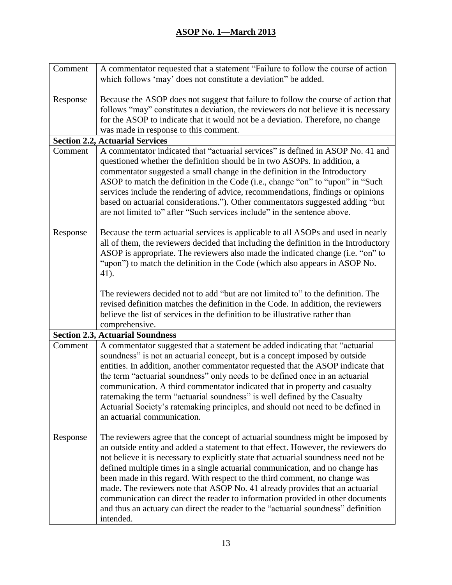| Comment  | A commentator requested that a statement "Failure to follow the course of action                                                                                                                                                                                                                                                                                                                                                                                                                                                                                                                                                                                                                |
|----------|-------------------------------------------------------------------------------------------------------------------------------------------------------------------------------------------------------------------------------------------------------------------------------------------------------------------------------------------------------------------------------------------------------------------------------------------------------------------------------------------------------------------------------------------------------------------------------------------------------------------------------------------------------------------------------------------------|
|          | which follows 'may' does not constitute a deviation" be added.                                                                                                                                                                                                                                                                                                                                                                                                                                                                                                                                                                                                                                  |
| Response | Because the ASOP does not suggest that failure to follow the course of action that<br>follows "may" constitutes a deviation, the reviewers do not believe it is necessary<br>for the ASOP to indicate that it would not be a deviation. Therefore, no change                                                                                                                                                                                                                                                                                                                                                                                                                                    |
|          | was made in response to this comment.                                                                                                                                                                                                                                                                                                                                                                                                                                                                                                                                                                                                                                                           |
|          | <b>Section 2.2, Actuarial Services</b>                                                                                                                                                                                                                                                                                                                                                                                                                                                                                                                                                                                                                                                          |
| Comment  | A commentator indicated that "actuarial services" is defined in ASOP No. 41 and<br>questioned whether the definition should be in two ASOPs. In addition, a<br>commentator suggested a small change in the definition in the Introductory<br>ASOP to match the definition in the Code (i.e., change "on" to "upon" in "Such<br>services include the rendering of advice, recommendations, findings or opinions<br>based on actuarial considerations."). Other commentators suggested adding "but<br>are not limited to" after "Such services include" in the sentence above.                                                                                                                    |
| Response | Because the term actuarial services is applicable to all ASOPs and used in nearly<br>all of them, the reviewers decided that including the definition in the Introductory<br>ASOP is appropriate. The reviewers also made the indicated change (i.e. "on" to<br>"upon") to match the definition in the Code (which also appears in ASOP No.<br>41).                                                                                                                                                                                                                                                                                                                                             |
|          | The reviewers decided not to add "but are not limited to" to the definition. The<br>revised definition matches the definition in the Code. In addition, the reviewers<br>believe the list of services in the definition to be illustrative rather than<br>comprehensive.                                                                                                                                                                                                                                                                                                                                                                                                                        |
|          | <b>Section 2.3, Actuarial Soundness</b>                                                                                                                                                                                                                                                                                                                                                                                                                                                                                                                                                                                                                                                         |
| Comment  | A commentator suggested that a statement be added indicating that "actuarial"<br>soundness" is not an actuarial concept, but is a concept imposed by outside<br>entities. In addition, another commentator requested that the ASOP indicate that<br>the term "actuarial soundness" only needs to be defined once in an actuarial<br>communication. A third commentator indicated that in property and casualty<br>ratemaking the term "actuarial soundness" is well defined by the Casualty<br>Actuarial Society's ratemaking principles, and should not need to be defined in<br>an actuarial communication.                                                                                   |
| Response | The reviewers agree that the concept of actuarial soundness might be imposed by<br>an outside entity and added a statement to that effect. However, the reviewers do<br>not believe it is necessary to explicitly state that actuarial soundness need not be<br>defined multiple times in a single actuarial communication, and no change has<br>been made in this regard. With respect to the third comment, no change was<br>made. The reviewers note that ASOP No. 41 already provides that an actuarial<br>communication can direct the reader to information provided in other documents<br>and thus an actuary can direct the reader to the "actuarial soundness" definition<br>intended. |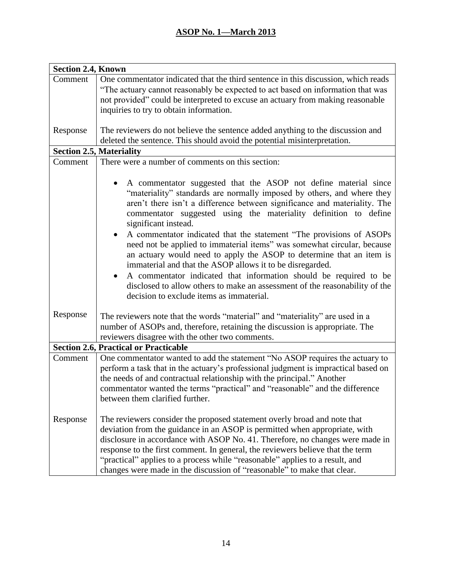| <b>Section 2.4, Known</b> |                                                                                                                                                                                                                                                                                                                                                                                                                                                                                      |
|---------------------------|--------------------------------------------------------------------------------------------------------------------------------------------------------------------------------------------------------------------------------------------------------------------------------------------------------------------------------------------------------------------------------------------------------------------------------------------------------------------------------------|
| Comment                   | One commentator indicated that the third sentence in this discussion, which reads<br>"The actuary cannot reasonably be expected to act based on information that was                                                                                                                                                                                                                                                                                                                 |
|                           | not provided" could be interpreted to excuse an actuary from making reasonable<br>inquiries to try to obtain information.                                                                                                                                                                                                                                                                                                                                                            |
| Response                  | The reviewers do not believe the sentence added anything to the discussion and<br>deleted the sentence. This should avoid the potential misinterpretation.                                                                                                                                                                                                                                                                                                                           |
|                           | <b>Section 2.5, Materiality</b>                                                                                                                                                                                                                                                                                                                                                                                                                                                      |
| Comment                   | There were a number of comments on this section:                                                                                                                                                                                                                                                                                                                                                                                                                                     |
|                           |                                                                                                                                                                                                                                                                                                                                                                                                                                                                                      |
|                           | A commentator suggested that the ASOP not define material since<br>"materiality" standards are normally imposed by others, and where they<br>aren't there isn't a difference between significance and materiality. The<br>commentator suggested using the materiality definition to define<br>significant instead.                                                                                                                                                                   |
|                           | A commentator indicated that the statement "The provisions of ASOPs<br>need not be applied to immaterial items" was somewhat circular, because<br>an actuary would need to apply the ASOP to determine that an item is<br>immaterial and that the ASOP allows it to be disregarded.<br>A commentator indicated that information should be required to be<br>disclosed to allow others to make an assessment of the reasonability of the<br>decision to exclude items as immaterial.  |
| Response                  | The reviewers note that the words "material" and "materiality" are used in a<br>number of ASOPs and, therefore, retaining the discussion is appropriate. The<br>reviewers disagree with the other two comments.                                                                                                                                                                                                                                                                      |
|                           | <b>Section 2.6, Practical or Practicable</b>                                                                                                                                                                                                                                                                                                                                                                                                                                         |
| Comment                   | One commentator wanted to add the statement "No ASOP requires the actuary to<br>perform a task that in the actuary's professional judgment is impractical based on<br>the needs of and contractual relationship with the principal." Another<br>commentator wanted the terms "practical" and "reasonable" and the difference<br>between them clarified further.                                                                                                                      |
| Response                  | The reviewers consider the proposed statement overly broad and note that<br>deviation from the guidance in an ASOP is permitted when appropriate, with<br>disclosure in accordance with ASOP No. 41. Therefore, no changes were made in<br>response to the first comment. In general, the reviewers believe that the term<br>"practical" applies to a process while "reasonable" applies to a result, and<br>changes were made in the discussion of "reasonable" to make that clear. |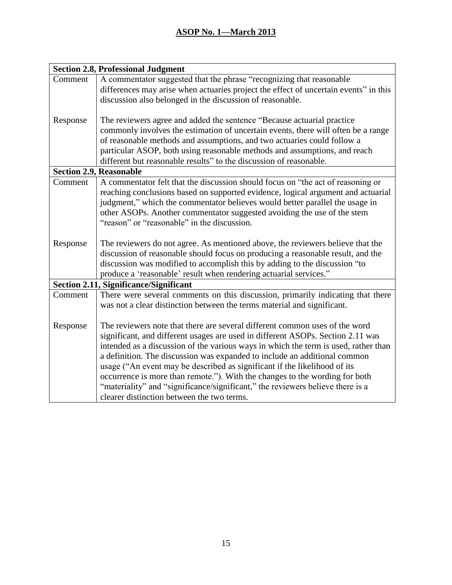| <b>Section 2.8, Professional Judgment</b> |                                                                                      |
|-------------------------------------------|--------------------------------------------------------------------------------------|
| Comment                                   | A commentator suggested that the phrase "recognizing that reasonable                 |
|                                           | differences may arise when actuaries project the effect of uncertain events" in this |
|                                           | discussion also belonged in the discussion of reasonable.                            |
|                                           |                                                                                      |
| Response                                  | The reviewers agree and added the sentence "Because actuarial practice"              |
|                                           | commonly involves the estimation of uncertain events, there will often be a range    |
|                                           | of reasonable methods and assumptions, and two actuaries could follow a              |
|                                           | particular ASOP, both using reasonable methods and assumptions, and reach            |
|                                           | different but reasonable results" to the discussion of reasonable.                   |
|                                           | <b>Section 2.9, Reasonable</b>                                                       |
| Comment                                   | A commentator felt that the discussion should focus on "the act of reasoning or      |
|                                           | reaching conclusions based on supported evidence, logical argument and actuarial     |
|                                           | judgment," which the commentator believes would better parallel the usage in         |
|                                           | other ASOPs. Another commentator suggested avoiding the use of the stem              |
|                                           | "reason" or "reasonable" in the discussion.                                          |
|                                           |                                                                                      |
| Response                                  | The reviewers do not agree. As mentioned above, the reviewers believe that the       |
|                                           | discussion of reasonable should focus on producing a reasonable result, and the      |
|                                           | discussion was modified to accomplish this by adding to the discussion "to           |
|                                           | produce a 'reasonable' result when rendering actuarial services."                    |
|                                           | <b>Section 2.11, Significance/Significant</b>                                        |
| Comment                                   | There were several comments on this discussion, primarily indicating that there      |
|                                           | was not a clear distinction between the terms material and significant.              |
|                                           |                                                                                      |
| Response                                  | The reviewers note that there are several different common uses of the word          |
|                                           | significant, and different usages are used in different ASOPs. Section 2.11 was      |
|                                           | intended as a discussion of the various ways in which the term is used, rather than  |
|                                           | a definition. The discussion was expanded to include an additional common            |
|                                           | usage ("An event may be described as significant if the likelihood of its            |
|                                           | occurrence is more than remote."). With the changes to the wording for both          |
|                                           | "materiality" and "significance/significant," the reviewers believe there is a       |
|                                           | clearer distinction between the two terms.                                           |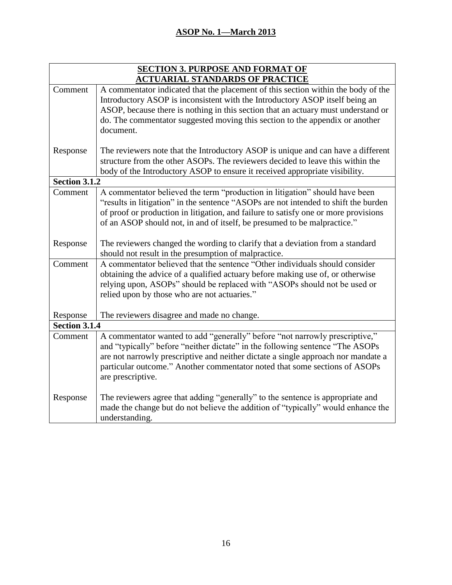| <b>SECTION 3. PURPOSE AND FORMAT OF</b> |                                                                                     |
|-----------------------------------------|-------------------------------------------------------------------------------------|
| <b>ACTUARIAL STANDARDS OF PRACTICE</b>  |                                                                                     |
| Comment                                 | A commentator indicated that the placement of this section within the body of the   |
|                                         | Introductory ASOP is inconsistent with the Introductory ASOP itself being an        |
|                                         | ASOP, because there is nothing in this section that an actuary must understand or   |
|                                         | do. The commentator suggested moving this section to the appendix or another        |
|                                         | document.                                                                           |
| Response                                | The reviewers note that the Introductory ASOP is unique and can have a different    |
|                                         | structure from the other ASOPs. The reviewers decided to leave this within the      |
|                                         | body of the Introductory ASOP to ensure it received appropriate visibility.         |
| Section 3.1.2                           |                                                                                     |
| Comment                                 | A commentator believed the term "production in litigation" should have been         |
|                                         | "results in litigation" in the sentence "ASOPs are not intended to shift the burden |
|                                         | of proof or production in litigation, and failure to satisfy one or more provisions |
|                                         | of an ASOP should not, in and of itself, be presumed to be malpractice."            |
| Response                                | The reviewers changed the wording to clarify that a deviation from a standard       |
|                                         | should not result in the presumption of malpractice.                                |
| Comment                                 | A commentator believed that the sentence "Other individuals should consider         |
|                                         | obtaining the advice of a qualified actuary before making use of, or otherwise      |
|                                         | relying upon, ASOPs" should be replaced with "ASOPs should not be used or           |
|                                         | relied upon by those who are not actuaries."                                        |
| Response                                | The reviewers disagree and made no change.                                          |
| Section 3.1.4                           |                                                                                     |
| Comment                                 | A commentator wanted to add "generally" before "not narrowly prescriptive,"         |
|                                         | and "typically" before "neither dictate" in the following sentence "The ASOPs"      |
|                                         | are not narrowly prescriptive and neither dictate a single approach nor mandate a   |
|                                         | particular outcome." Another commentator noted that some sections of ASOPs          |
|                                         | are prescriptive.                                                                   |
| Response                                | The reviewers agree that adding "generally" to the sentence is appropriate and      |
|                                         | made the change but do not believe the addition of "typically" would enhance the    |
|                                         | understanding.                                                                      |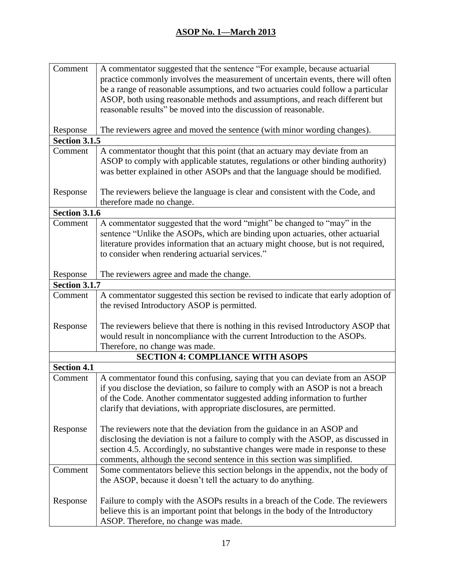| Comment              | A commentator suggested that the sentence "For example, because actuarial          |
|----------------------|------------------------------------------------------------------------------------|
|                      | practice commonly involves the measurement of uncertain events, there will often   |
|                      | be a range of reasonable assumptions, and two actuaries could follow a particular  |
|                      | ASOP, both using reasonable methods and assumptions, and reach different but       |
|                      | reasonable results" be moved into the discussion of reasonable.                    |
|                      |                                                                                    |
| Response             | The reviewers agree and moved the sentence (with minor wording changes).           |
| <b>Section 3.1.5</b> |                                                                                    |
| Comment              | A commentator thought that this point (that an actuary may deviate from an         |
|                      | ASOP to comply with applicable statutes, regulations or other binding authority)   |
|                      | was better explained in other ASOPs and that the language should be modified.      |
|                      |                                                                                    |
| Response             | The reviewers believe the language is clear and consistent with the Code, and      |
|                      | therefore made no change.                                                          |
| <b>Section 3.1.6</b> |                                                                                    |
| Comment              | A commentator suggested that the word "might" be changed to "may" in the           |
|                      | sentence "Unlike the ASOPs, which are binding upon actuaries, other actuarial      |
|                      | literature provides information that an actuary might choose, but is not required, |
|                      | to consider when rendering actuarial services."                                    |
|                      |                                                                                    |
| Response             | The reviewers agree and made the change.                                           |
| <b>Section 3.1.7</b> |                                                                                    |
| Comment              | A commentator suggested this section be revised to indicate that early adoption of |
|                      | the revised Introductory ASOP is permitted.                                        |
|                      |                                                                                    |
| Response             | The reviewers believe that there is nothing in this revised Introductory ASOP that |
|                      | would result in noncompliance with the current Introduction to the ASOPs.          |
|                      | Therefore, no change was made.                                                     |
|                      | <b>SECTION 4: COMPLIANCE WITH ASOPS</b>                                            |
| <b>Section 4.1</b>   |                                                                                    |
| Comment              | A commentator found this confusing, saying that you can deviate from an ASOP       |
|                      | if you disclose the deviation, so failure to comply with an ASOP is not a breach   |
|                      | of the Code. Another commentator suggested adding information to further           |
|                      | clarify that deviations, with appropriate disclosures, are permitted.              |
|                      |                                                                                    |
| Response             | The reviewers note that the deviation from the guidance in an ASOP and             |
|                      | disclosing the deviation is not a failure to comply with the ASOP, as discussed in |
|                      | section 4.5. Accordingly, no substantive changes were made in response to these    |
|                      | comments, although the second sentence in this section was simplified.             |
| Comment              | Some commentators believe this section belongs in the appendix, not the body of    |
|                      | the ASOP, because it doesn't tell the actuary to do anything.                      |
|                      |                                                                                    |
| Response             | Failure to comply with the ASOPs results in a breach of the Code. The reviewers    |
|                      | believe this is an important point that belongs in the body of the Introductory    |
|                      | ASOP. Therefore, no change was made.                                               |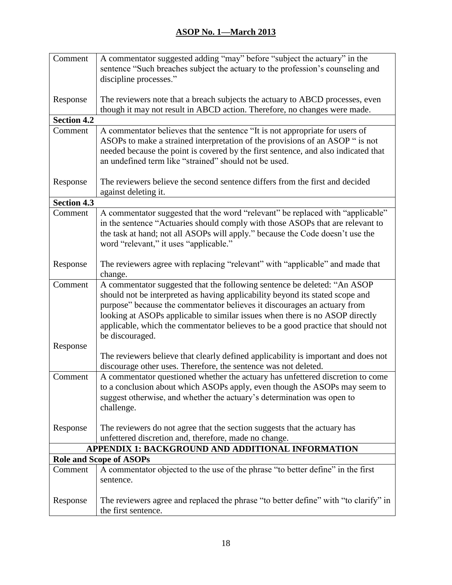| Comment            | A commentator suggested adding "may" before "subject the actuary" in the            |
|--------------------|-------------------------------------------------------------------------------------|
|                    | sentence "Such breaches subject the actuary to the profession's counseling and      |
|                    | discipline processes."                                                              |
|                    |                                                                                     |
| Response           | The reviewers note that a breach subjects the actuary to ABCD processes, even       |
|                    | though it may not result in ABCD action. Therefore, no changes were made.           |
| <b>Section 4.2</b> |                                                                                     |
| Comment            | A commentator believes that the sentence "It is not appropriate for users of        |
|                    | ASOPs to make a strained interpretation of the provisions of an ASOP " is not       |
|                    | needed because the point is covered by the first sentence, and also indicated that  |
|                    | an undefined term like "strained" should not be used.                               |
|                    |                                                                                     |
| Response           | The reviewers believe the second sentence differs from the first and decided        |
|                    | against deleting it.                                                                |
| <b>Section 4.3</b> |                                                                                     |
| Comment            | A commentator suggested that the word "relevant" be replaced with "applicable"      |
|                    | in the sentence "Actuaries should comply with those ASOPs that are relevant to      |
|                    | the task at hand; not all ASOPs will apply." because the Code doesn't use the       |
|                    | word "relevant," it uses "applicable."                                              |
| Response           | The reviewers agree with replacing "relevant" with "applicable" and made that       |
|                    | change.                                                                             |
| Comment            | A commentator suggested that the following sentence be deleted: "An ASOP            |
|                    | should not be interpreted as having applicability beyond its stated scope and       |
|                    | purpose" because the commentator believes it discourages an actuary from            |
|                    | looking at ASOPs applicable to similar issues when there is no ASOP directly        |
|                    | applicable, which the commentator believes to be a good practice that should not    |
|                    | be discouraged.                                                                     |
| Response           |                                                                                     |
|                    | The reviewers believe that clearly defined applicability is important and does not  |
|                    | discourage other uses. Therefore, the sentence was not deleted.                     |
| Comment            | A commentator questioned whether the actuary has unfettered discretion to come      |
|                    | to a conclusion about which ASOPs apply, even though the ASOPs may seem to          |
|                    | suggest otherwise, and whether the actuary's determination was open to              |
|                    | challenge.                                                                          |
|                    |                                                                                     |
| Response           | The reviewers do not agree that the section suggests that the actuary has           |
|                    | unfettered discretion and, therefore, made no change.                               |
|                    | APPENDIX 1: BACKGROUND AND ADDITIONAL INFORMATION                                   |
|                    | <b>Role and Scope of ASOPs</b>                                                      |
| Comment            | A commentator objected to the use of the phrase "to better define" in the first     |
|                    | sentence.                                                                           |
|                    |                                                                                     |
| Response           | The reviewers agree and replaced the phrase "to better define" with "to clarify" in |
|                    | the first sentence.                                                                 |